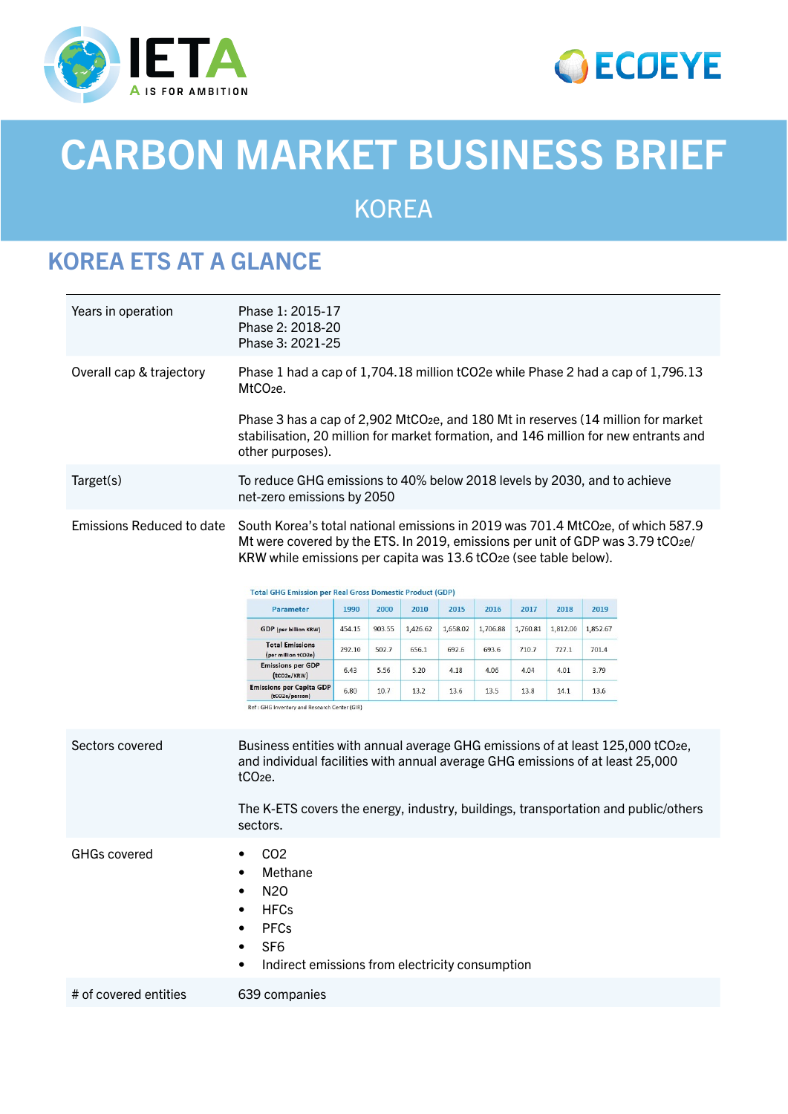



# CARBON MARKET BUSINESS BRIEF

KOREA

# KOREA ETS AT A GLANCE

| Years in operation               | Phase 1: 2015-17<br>Phase 2: 2018-20<br>Phase 3: 2021-25                                                                                                                                                                                                                      |        |        |          |          |          |          |          |          |  |  |
|----------------------------------|-------------------------------------------------------------------------------------------------------------------------------------------------------------------------------------------------------------------------------------------------------------------------------|--------|--------|----------|----------|----------|----------|----------|----------|--|--|
| Overall cap & trajectory         | Phase 1 had a cap of 1,704.18 million tCO2e while Phase 2 had a cap of 1,796.13<br>MtCO <sub>2</sub> e.                                                                                                                                                                       |        |        |          |          |          |          |          |          |  |  |
|                                  | Phase 3 has a cap of 2,902 MtCO <sub>2</sub> e, and 180 Mt in reserves (14 million for market<br>stabilisation, 20 million for market formation, and 146 million for new entrants and<br>other purposes).                                                                     |        |        |          |          |          |          |          |          |  |  |
| Target(s)                        | To reduce GHG emissions to 40% below 2018 levels by 2030, and to achieve<br>net-zero emissions by 2050                                                                                                                                                                        |        |        |          |          |          |          |          |          |  |  |
| <b>Emissions Reduced to date</b> | South Korea's total national emissions in 2019 was 701.4 MtCO2e, of which 587.9<br>Mt were covered by the ETS. In 2019, emissions per unit of GDP was 3.79 tCO2e/<br>KRW while emissions per capita was 13.6 tCO2e (see table below).                                         |        |        |          |          |          |          |          |          |  |  |
|                                  | <b>Total GHG Emission per Real Gross Domestic Product (GDP)</b>                                                                                                                                                                                                               |        |        |          |          |          |          |          |          |  |  |
|                                  | Parameter                                                                                                                                                                                                                                                                     | 1990   | 2000   | 2010     | 2015     | 2016     | 2017     | 2018     | 2019     |  |  |
|                                  | GDP (per billion KRW)<br><b>Total Emissions</b>                                                                                                                                                                                                                               | 454.15 | 903.55 | 1,426.62 | 1,658.02 | 1,706.88 | 1,760.81 | 1,812.00 | 1,852.67 |  |  |
|                                  | (per million tCO2e)<br><b>Emissions per GDP</b>                                                                                                                                                                                                                               | 292.10 | 502.7  | 656.1    | 692.6    | 693.6    | 710.7    | 727.1    | 701.4    |  |  |
|                                  | (tco2e/KRW)<br><b>Emissions per Capita GDP</b>                                                                                                                                                                                                                                | 6.43   | 5.56   | 5.20     | 4.18     | 4.06     | 4.04     | 4.01     | 3.79     |  |  |
|                                  | (tCO2e/person)<br>Ref : GHG Inventory and Research Center (GIR)                                                                                                                                                                                                               | 6.80   | 10.7   | 13.2     | 13.6     | 13.5     | 13.8     | 14.1     | 13.6     |  |  |
| Sectors covered                  | Business entities with annual average GHG emissions of at least 125,000 tCO2e,<br>and individual facilities with annual average GHG emissions of at least 25,000<br>tCO <sub>2e</sub> .<br>The K-ETS covers the energy, industry, buildings, transportation and public/others |        |        |          |          |          |          |          |          |  |  |
|                                  | sectors.                                                                                                                                                                                                                                                                      |        |        |          |          |          |          |          |          |  |  |
| <b>GHGs covered</b>              | C <sub>O</sub> 2<br>Methane<br>N <sub>2</sub> 0<br><b>HFCs</b><br><b>PFCs</b><br>SF <sub>6</sub><br>Indirect emissions from electricity consumption                                                                                                                           |        |        |          |          |          |          |          |          |  |  |
| # of covered entities            | 639 companies                                                                                                                                                                                                                                                                 |        |        |          |          |          |          |          |          |  |  |
|                                  |                                                                                                                                                                                                                                                                               |        |        |          |          |          |          |          |          |  |  |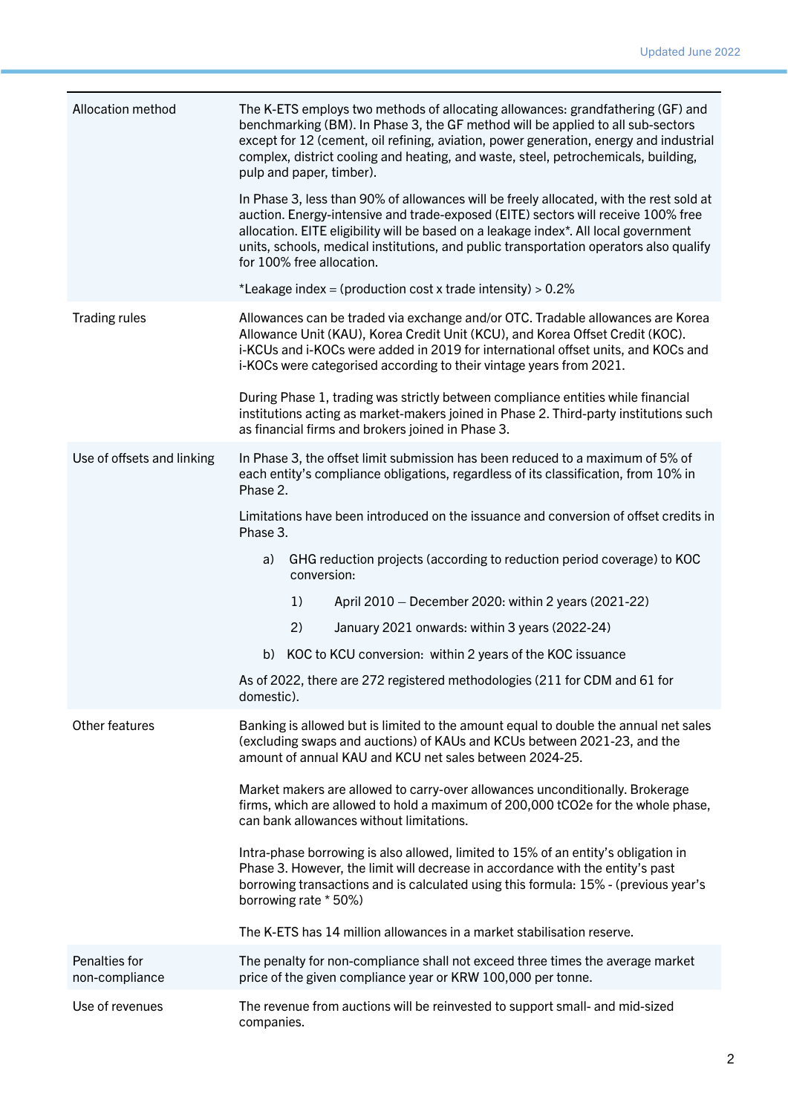| Allocation method               | The K-ETS employs two methods of allocating allowances: grandfathering (GF) and<br>benchmarking (BM). In Phase 3, the GF method will be applied to all sub-sectors<br>except for 12 (cement, oil refining, aviation, power generation, energy and industrial<br>complex, district cooling and heating, and waste, steel, petrochemicals, building,<br>pulp and paper, timber).<br>In Phase 3, less than 90% of allowances will be freely allocated, with the rest sold at<br>auction. Energy-intensive and trade-exposed (EITE) sectors will receive 100% free<br>allocation. EITE eligibility will be based on a leakage index*. All local government<br>units, schools, medical institutions, and public transportation operators also qualify<br>for 100% free allocation.<br>*Leakage index = (production cost x trade intensity) > $0.2\%$ |  |  |  |  |  |  |
|---------------------------------|-------------------------------------------------------------------------------------------------------------------------------------------------------------------------------------------------------------------------------------------------------------------------------------------------------------------------------------------------------------------------------------------------------------------------------------------------------------------------------------------------------------------------------------------------------------------------------------------------------------------------------------------------------------------------------------------------------------------------------------------------------------------------------------------------------------------------------------------------|--|--|--|--|--|--|
| <b>Trading rules</b>            |                                                                                                                                                                                                                                                                                                                                                                                                                                                                                                                                                                                                                                                                                                                                                                                                                                                 |  |  |  |  |  |  |
|                                 | Allowances can be traded via exchange and/or OTC. Tradable allowances are Korea<br>Allowance Unit (KAU), Korea Credit Unit (KCU), and Korea Offset Credit (KOC).<br>i-KCUs and i-KOCs were added in 2019 for international offset units, and KOCs and<br>i-KOCs were categorised according to their vintage years from 2021.                                                                                                                                                                                                                                                                                                                                                                                                                                                                                                                    |  |  |  |  |  |  |
|                                 | During Phase 1, trading was strictly between compliance entities while financial<br>institutions acting as market-makers joined in Phase 2. Third-party institutions such<br>as financial firms and brokers joined in Phase 3.                                                                                                                                                                                                                                                                                                                                                                                                                                                                                                                                                                                                                  |  |  |  |  |  |  |
| Use of offsets and linking      | In Phase 3, the offset limit submission has been reduced to a maximum of 5% of<br>each entity's compliance obligations, regardless of its classification, from 10% in<br>Phase 2.                                                                                                                                                                                                                                                                                                                                                                                                                                                                                                                                                                                                                                                               |  |  |  |  |  |  |
|                                 | Limitations have been introduced on the issuance and conversion of offset credits in<br>Phase 3.                                                                                                                                                                                                                                                                                                                                                                                                                                                                                                                                                                                                                                                                                                                                                |  |  |  |  |  |  |
|                                 | GHG reduction projects (according to reduction period coverage) to KOC<br>a)<br>conversion:                                                                                                                                                                                                                                                                                                                                                                                                                                                                                                                                                                                                                                                                                                                                                     |  |  |  |  |  |  |
|                                 | 1)<br>April 2010 - December 2020: within 2 years (2021-22)                                                                                                                                                                                                                                                                                                                                                                                                                                                                                                                                                                                                                                                                                                                                                                                      |  |  |  |  |  |  |
|                                 | 2)<br>January 2021 onwards: within 3 years (2022-24)                                                                                                                                                                                                                                                                                                                                                                                                                                                                                                                                                                                                                                                                                                                                                                                            |  |  |  |  |  |  |
|                                 | KOC to KCU conversion: within 2 years of the KOC issuance<br>b)                                                                                                                                                                                                                                                                                                                                                                                                                                                                                                                                                                                                                                                                                                                                                                                 |  |  |  |  |  |  |
|                                 | As of 2022, there are 272 registered methodologies (211 for CDM and 61 for<br>domestic).                                                                                                                                                                                                                                                                                                                                                                                                                                                                                                                                                                                                                                                                                                                                                        |  |  |  |  |  |  |
| Other features                  | Banking is allowed but is limited to the amount equal to double the annual net sales<br>(excluding swaps and auctions) of KAUs and KCUs between 2021-23, and the<br>amount of annual KAU and KCU net sales between 2024-25.                                                                                                                                                                                                                                                                                                                                                                                                                                                                                                                                                                                                                     |  |  |  |  |  |  |
|                                 | Market makers are allowed to carry-over allowances unconditionally. Brokerage<br>firms, which are allowed to hold a maximum of 200,000 tCO2e for the whole phase,<br>can bank allowances without limitations.                                                                                                                                                                                                                                                                                                                                                                                                                                                                                                                                                                                                                                   |  |  |  |  |  |  |
|                                 | Intra-phase borrowing is also allowed, limited to 15% of an entity's obligation in<br>Phase 3. However, the limit will decrease in accordance with the entity's past<br>borrowing transactions and is calculated using this formula: 15% - (previous year's<br>borrowing rate * 50%)                                                                                                                                                                                                                                                                                                                                                                                                                                                                                                                                                            |  |  |  |  |  |  |
|                                 | The K-ETS has 14 million allowances in a market stabilisation reserve.                                                                                                                                                                                                                                                                                                                                                                                                                                                                                                                                                                                                                                                                                                                                                                          |  |  |  |  |  |  |
| Penalties for<br>non-compliance | The penalty for non-compliance shall not exceed three times the average market<br>price of the given compliance year or KRW 100,000 per tonne.                                                                                                                                                                                                                                                                                                                                                                                                                                                                                                                                                                                                                                                                                                  |  |  |  |  |  |  |
| Use of revenues                 | The revenue from auctions will be reinvested to support small- and mid-sized<br>companies.                                                                                                                                                                                                                                                                                                                                                                                                                                                                                                                                                                                                                                                                                                                                                      |  |  |  |  |  |  |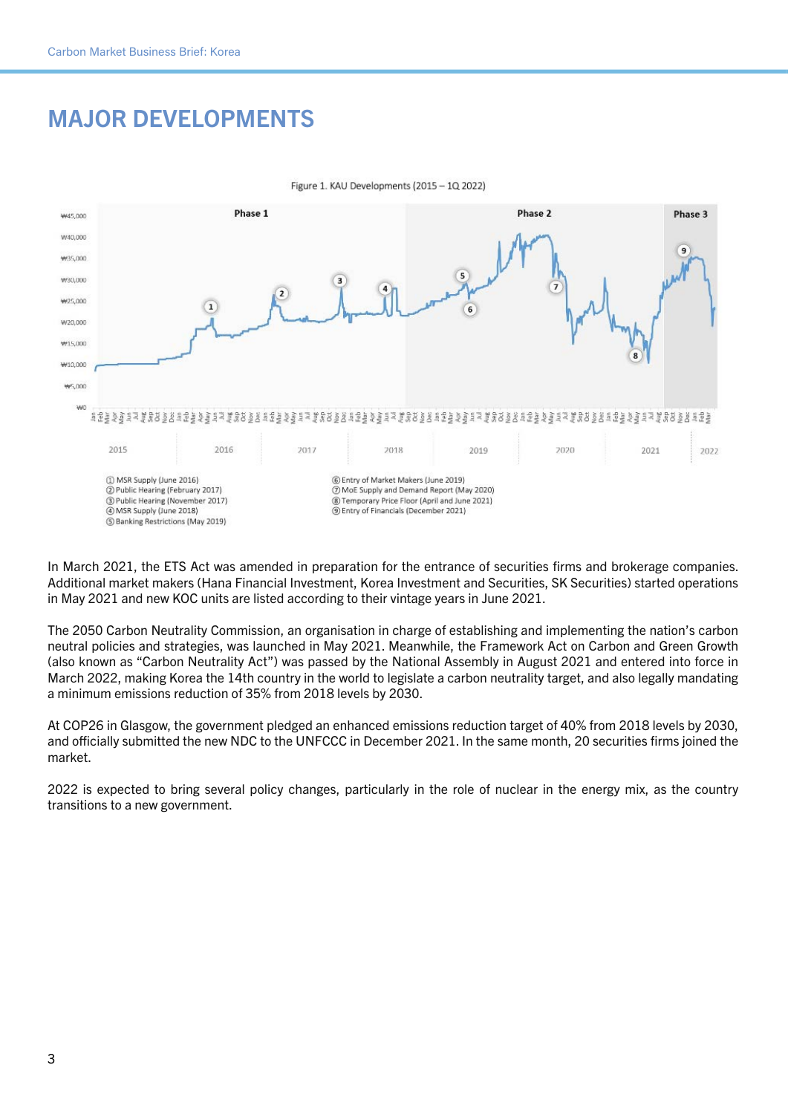# MAJOR DEVELOPMENTS



Figure 1. KAU Developments (2015 - 1Q 2022)

In March 2021, the ETS Act was amended in preparation for the entrance of securities firms and brokerage companies. Additional market makers (Hana Financial Investment, Korea Investment and Securities, SK Securities) started operations in May 2021 and new KOC units are listed according to their vintage years in June 2021.

The 2050 Carbon Neutrality Commission, an organisation in charge of establishing and implementing the nation's carbon neutral policies and strategies, was launched in May 2021. Meanwhile, the Framework Act on Carbon and Green Growth (also known as "Carbon Neutrality Act") was passed by the National Assembly in August 2021 and entered into force in March 2022, making Korea the 14th country in the world to legislate a carbon neutrality target, and also legally mandating a minimum emissions reduction of 35% from 2018 levels by 2030.

At COP26 in Glasgow, the government pledged an enhanced emissions reduction target of 40% from 2018 levels by 2030, and officially submitted the new NDC to the UNFCCC in December 2021. In the same month, 20 securities firms joined the market.

2022 is expected to bring several policy changes, particularly in the role of nuclear in the energy mix, as the country transitions to a new government.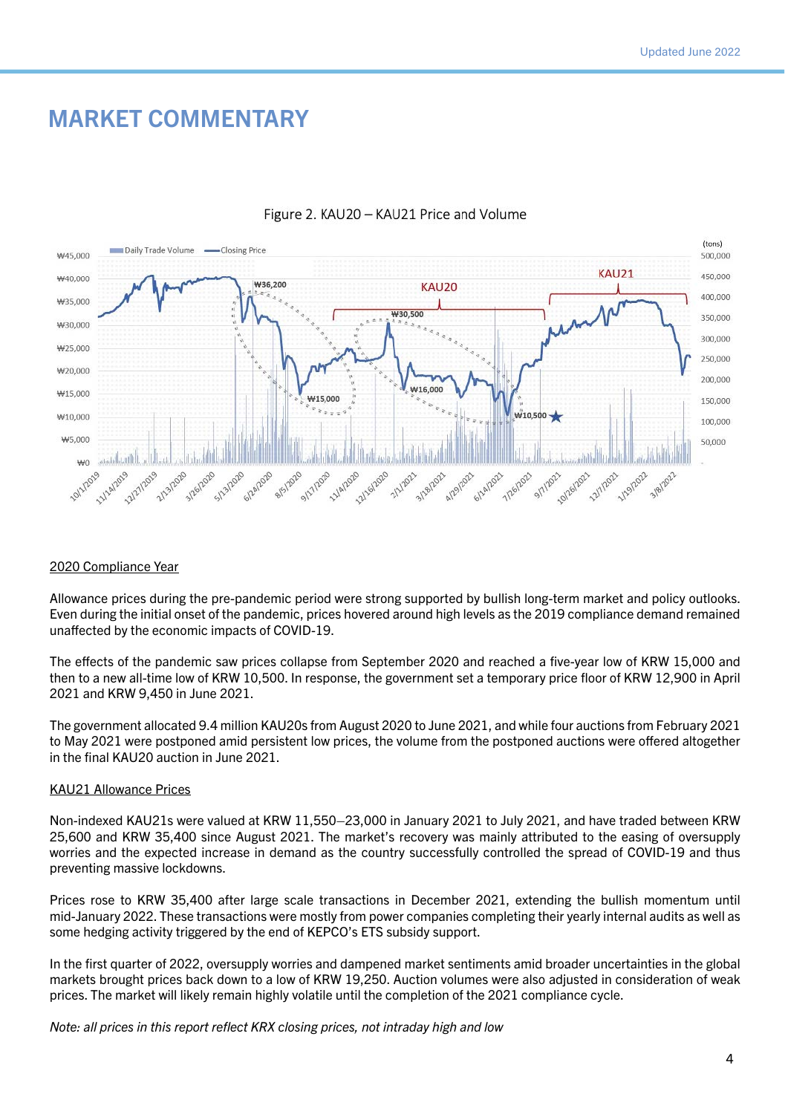## MARKET COMMENTARY



#### Figure 2. KAU20 - KAU21 Price and Volume

#### 2020 Compliance Year

Allowance prices during the pre-pandemic period were strong supported by bullish long-term market and policy outlooks. Even during the initial onset of the pandemic, prices hovered around high levels as the 2019 compliance demand remained unaffected by the economic impacts of COVID-19.

The effects of the pandemic saw prices collapse from September 2020 and reached a five-year low of KRW 15,000 and then to a new all-time low of KRW 10,500. In response, the government set a temporary price floor of KRW 12,900 in April 2021 and KRW 9,450 in June 2021.

The government allocated 9.4 million KAU20s from August 2020 to June 2021, and while four auctions from February 2021 to May 2021 were postponed amid persistent low prices, the volume from the postponed auctions were offered altogether in the final KAU20 auction in June 2021.

#### KAU21 Allowance Prices

Non-indexed KAU21s were valued at KRW 11,550–23,000 in January 2021 to July 2021, and have traded between KRW 25,600 and KRW 35,400 since August 2021. The market's recovery was mainly attributed to the easing of oversupply worries and the expected increase in demand as the country successfully controlled the spread of COVID-19 and thus preventing massive lockdowns.

Prices rose to KRW 35,400 after large scale transactions in December 2021, extending the bullish momentum until mid-January 2022. These transactions were mostly from power companies completing their yearly internal audits as well as some hedging activity triggered by the end of KEPCO's ETS subsidy support.

In the first quarter of 2022, oversupply worries and dampened market sentiments amid broader uncertainties in the global markets brought prices back down to a low of KRW 19,250. Auction volumes were also adjusted in consideration of weak prices. The market will likely remain highly volatile until the completion of the 2021 compliance cycle.

*Note: all prices in this report reflect KRX closing prices, not intraday high and low*